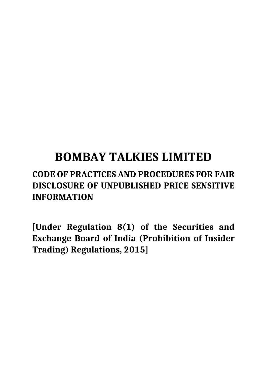# **BOMBAY TALKIES LIMITED**

## **CODE OF PRACTICES AND PROCEDURES FOR FAIR DISCLOSURE OF UNPUBLISHED PRICE SENSITIVE INFORMATION**

**[Under Regulation 8(1) of the Securities and Exchange Board of India (Prohibition of Insider Trading) Regulations, 2015]**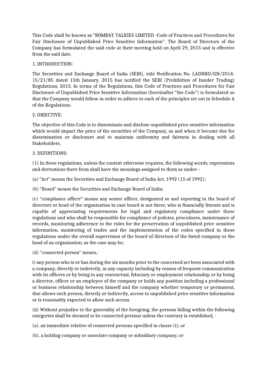This Code shall be known as "BOMBAY TALKIES LIMITED -Code of Practices and Procedures for Fair Disclosure of Unpublished Price Sensitive Information". The Board of Directors of the Company has formulated the said code at their meeting held on April 29, 2015 and is effective from the said date.

#### 1. INTRODUCTION:

The Securities and Exchange Board of India (SEBI), vide Notification No. LADNRO/GN/2014- 15/21/85 dated 15th January, 2015 has notified the SEBI (Prohibition of Insider Trading) Regulations, 2015. In terms of the Regulations, this Code of Practices and Procedures for Fair Disclosure of Unpublished Price Sensitive Information (hereinafter "the Code") is formulated so that the Company would follow in order to adhere to each of the principles set out in Schedule A of the Regulations.

#### 2. OBJECTIVE:

The objective of this Code is to disseminate and disclose unpublished price sensitive information which would impact the price of the securities of the Company, as and when it become due for dissemination or disclosure and to maintain uniformity and fairness in dealing with all Stakeholders.

### 3. DEFINITIONS:

(1) In these regulations, unless the context otherwise requires, the following words, expressions and derivations there from shall have the meanings assigned to them as under:–

(a) "Act" means the Securities and Exchange Board of India Act, 1992 (15 of 1992);

(b) "Board" means the Securities and Exchange Board of India;

(c) "compliance officer" means any senior officer, designated so and reporting to the board of directors or head of the organization in case board is not there, who is financially literate and is capable of appreciating requirements for legal and regulatory compliance under these regulations and who shall be responsible for compliance of policies, procedures, maintenance of records, monitoring adherence to the rules for the preservation of unpublished price sensitive information, monitoring of trades and the implementation of the codes specified in these regulations under the overall supervision of the board of directors of the listed company or the head of an organization, as the case may be;

(d) "connected person" means,-

i) any person who is or has during the six months prior to the concerned act been associated with a company, directly or indirectly, in any capacity including by reason of frequent communication with its officers or by being in any contractual, fiduciary or employment relationship or by being a director, officer or an employee of the company or holds any position including a professional or business relationship between himself and the company whether temporary or permanent, that allows such person, directly or indirectly, access to unpublished price sensitive information or is reasonably expected to allow such access.

(ii) Without prejudice to the generality of the foregoing, the persons falling within the following categories shall be deemed to be connected persons unless the contrary is established, -

(a). an immediate relative of connected persons specified in clause (i); or

(b). a holding company or associate company or subsidiary company; or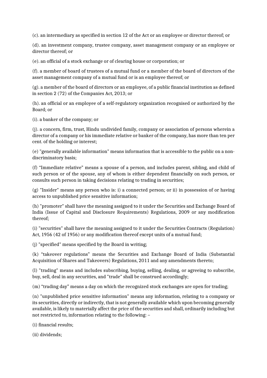(c). an intermediary as specified in section 12 of the Act or an employee or director thereof; or

(d). an investment company, trustee company, asset management company or an employee or director thereof; or

(e). an official of a stock exchange or of clearing house or corporation; or

(f). a member of board of trustees of a mutual fund or a member of the board of directors of the asset management company of a mutual fund or is an employee thereof; or

(g). a member of the board of directors or an employee, of a public financial institution as defined in section 2 (72) of the Companies Act, 2013; or

(h). an official or an employee of a self-regulatory organization recognised or authorized by the Board; or

(i). a banker of the company; or

(j). a concern, firm, trust, Hindu undivided family, company or association of persons wherein a director of a company or his immediate relative or banker of the company, has more than ten per cent. of the holding or interest;

(e) "generally available information" means information that is accessible to the public on a nondiscriminatory basis;

(f) "Immediate relative" means a spouse of a person, and includes parent, sibling, and child of such person or of the spouse, any of whom is either dependent financially on such person, or consults such person in taking decisions relating to trading in securities;

(g) "Insider" means any person who is: i) a connected person; or ii) in possession of or having access to unpublished price sensitive information;

(h) "promoter" shall have the meaning assigned to it under the Securities and Exchange Board of India (Issue of Capital and Disclosure Requirements) Regulations, 2009 or any modification thereof;

(i) "securities" shall have the meaning assigned to it under the Securities Contracts (Regulation) Act, 1956 (42 of 1956) or any modification thereof except units of a mutual fund;

(j) "specified" means specified by the Board in writing;

(k) "takeover regulations" means the Securities and Exchange Board of India (Substantial Acquisition of Shares and Takeovers) Regulations, 2011 and any amendments thereto;

(l) "trading" means and includes subscribing, buying, selling, dealing, or agreeing to subscribe, buy, sell, deal in any securities, and "trade" shall be construed accordingly;

(m) "trading day" means a day on which the recognized stock exchanges are open for trading;

(n) "unpublished price sensitive information" means any information, relating to a company or its securities, directly or indirectly, that is not generally available which upon becoming generally available, is likely to materially affect the price of the securities and shall, ordinarily including but not restricted to, information relating to the following: –

(i) financial results;

(ii) dividends;